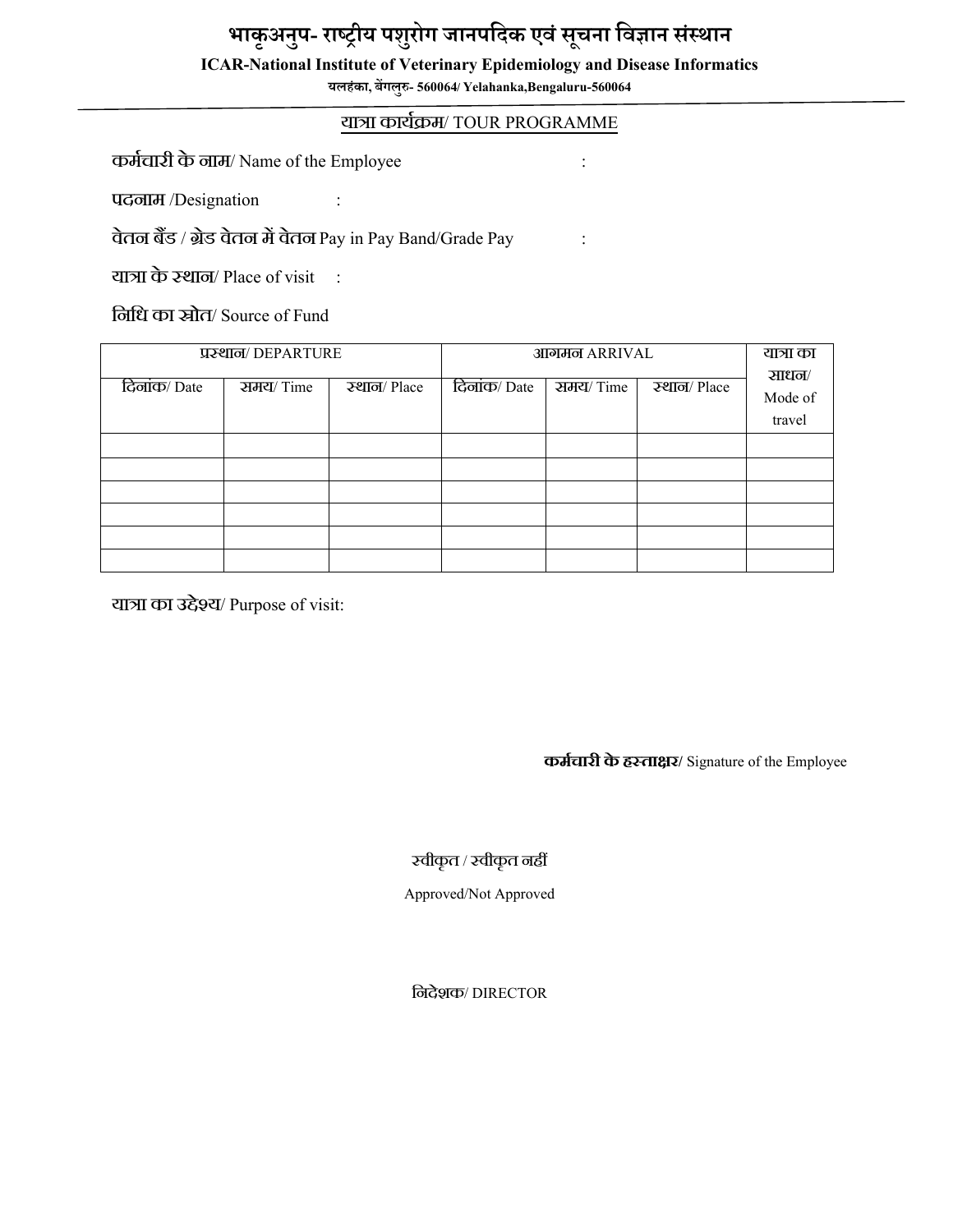## **भाकृअनुप- राष्ट्रीय पशुरोग जानपदिक एवंसूचना दवज्ञान संस्थान**

#### **ICAR-National Institute of Veterinary Epidemiology and Disease Informatics**

**यलहंका, बेंगलुरु- 560064/ Yelahanka,Bengaluru-560064**

### यात्रा काययक्रम/ TOUR PROGRAMME

कमयचारी केनाम/ Name of the Employee :

पदनाम /Designation :

वेतन बैंड / ब्रेड वेतन में वेतन Pay in Pay Band/Grade Pay : :

यात्रा के स्थान/ Place of visit  $\therefore$ 

नननध का स्रोत/ Source of Fund

| प्रस्थान/DEPARTURE |          |             | आगमन ARRIVAL |          | यात्रा का   |                            |
|--------------------|----------|-------------|--------------|----------|-------------|----------------------------|
| दिलांक/Date        | समय/Time | स्थान/Place | दिलांक/Date  | समय/Time | स्थान/Place | साधन/<br>Mode of<br>travel |
|                    |          |             |              |          |             |                            |
|                    |          |             |              |          |             |                            |
|                    |          |             |              |          |             |                            |
|                    |          |             |              |          |             |                            |
|                    |          |             |              |          |             |                            |
|                    |          |             |              |          |             |                            |

यात्रा का उद्देश्य/ Purpose of visit:

**कर्मचारी केहस्ताक्षर/** Signature of the Employee

स्वीकृत / स्वीकृत नहीं

Approved/Not Approved

ननदेशक/ DIRECTOR